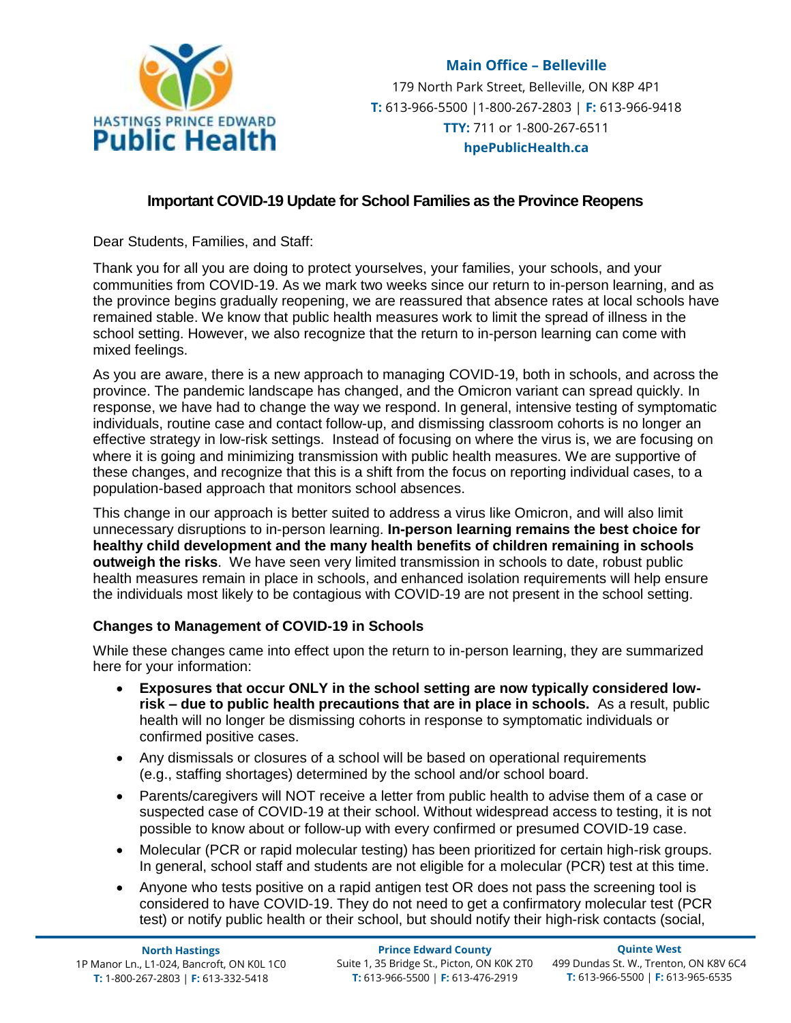

**Main Office – Belleville** 179 North Park Street, Belleville, ON K8P 4P1 **T:** 613-966-5500 |1-800-267-2803 | **F:** 613-966-9418 **TTY:** 711 or 1-800-267-6511 **hpePublicHealth.ca**

## **Important COVID-19 Update for School Families as the Province Reopens**

Dear Students, Families, and Staff:

Thank you for all you are doing to protect yourselves, your families, your schools, and your communities from COVID-19. As we mark two weeks since our return to in-person learning, and as the province begins gradually reopening, we are reassured that absence rates at local schools have remained stable. We know that public health measures work to limit the spread of illness in the school setting. However, we also recognize that the return to in-person learning can come with mixed feelings.

As you are aware, there is a new approach to managing COVID-19, both in schools, and across the province. The pandemic landscape has changed, and the Omicron variant can spread quickly. In response, we have had to change the way we respond. In general, intensive testing of symptomatic individuals, routine case and contact follow-up, and dismissing classroom cohorts is no longer an effective strategy in low-risk settings. Instead of focusing on where the virus is, we are focusing on where it is going and minimizing transmission with public health measures. We are supportive of these changes, and recognize that this is a shift from the focus on reporting individual cases, to a population-based approach that monitors school absences.

This change in our approach is better suited to address a virus like Omicron, and will also limit unnecessary disruptions to in-person learning. **In-person learning remains the best choice for healthy child development and the many health benefits of children remaining in schools outweigh the risks**. We have seen very limited transmission in schools to date, robust public health measures remain in place in schools, and enhanced isolation requirements will help ensure the individuals most likely to be contagious with COVID-19 are not present in the school setting.

### **Changes to Management of COVID-19 in Schools**

While these changes came into effect upon the return to in-person learning, they are summarized here for your information:

- **Exposures that occur ONLY in the school setting are now typically considered lowrisk – due to public health precautions that are in place in schools.** As a result, public health will no longer be dismissing cohorts in response to symptomatic individuals or confirmed positive cases.
- Any dismissals or closures of a school will be based on operational requirements (e.g., staffing shortages) determined by the school and/or school board.
- Parents/caregivers will NOT receive a letter from public health to advise them of a case or suspected case of COVID-19 at their school. Without widespread access to testing, it is not possible to know about or follow-up with every confirmed or presumed COVID-19 case.
- Molecular (PCR or rapid molecular testing) has been prioritized for certain high-risk groups. In general, school staff and students are not eligible for a molecular (PCR) test at this time.
- Anyone who tests positive on a rapid antigen test OR does not pass the screening tool is considered to have COVID-19. They do not need to get a confirmatory molecular test (PCR test) or notify public health or their school, but should notify their high-risk contacts (social,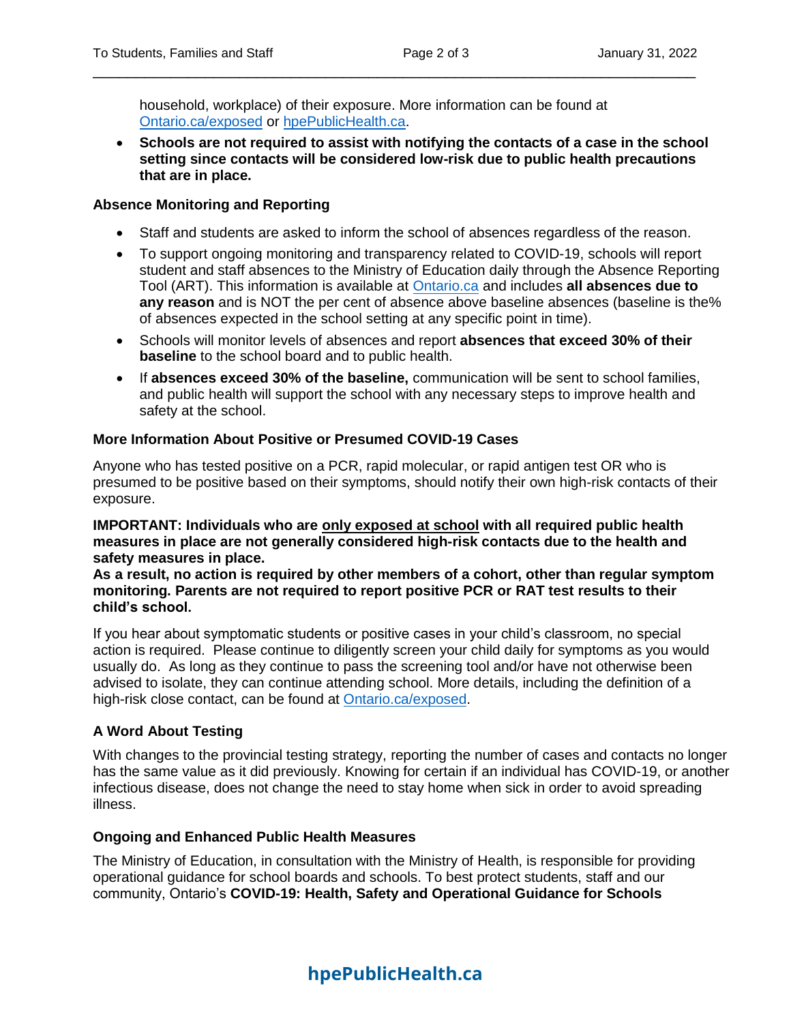household, workplace) of their exposure. More information can be found at [Ontario.ca/exposed](https://covid-19.ontario.ca/exposed) or [hpePublicHealth.ca.](http://www.hpepublichealth.ca/)

\_\_\_\_\_\_\_\_\_\_\_\_\_\_\_\_\_\_\_\_\_\_\_\_\_\_\_\_\_\_\_\_\_\_\_\_\_\_\_\_\_\_\_\_\_\_\_\_\_\_\_\_\_\_\_\_\_\_\_\_\_\_\_\_\_\_\_\_\_\_

• **Schools are not required to assist with notifying the contacts of a case in the school setting since contacts will be considered low-risk due to public health precautions that are in place.**

#### **Absence Monitoring and Reporting**

- Staff and students are asked to inform the school of absences regardless of the reason.
- To support ongoing monitoring and transparency related to COVID-19, schools will report student and staff absences to the Ministry of Education daily through the Absence Reporting Tool (ART). This information is available at [Ontario.ca](http://www.ontario.ca/) and includes **all absences due to any reason** and is NOT the per cent of absence above baseline absences (baseline is the% of absences expected in the school setting at any specific point in time).
- Schools will monitor levels of absences and report **absences that exceed 30% of their baseline** to the school board and to public health.
- If **absences exceed 30% of the baseline,** communication will be sent to school families, and public health will support the school with any necessary steps to improve health and safety at the school.

#### **More Information About Positive or Presumed COVID-19 Cases**

Anyone who has tested positive on a PCR, rapid molecular, or rapid antigen test OR who is presumed to be positive based on their symptoms, should notify their own high-risk contacts of their exposure.

**IMPORTANT: Individuals who are only exposed at school with all required public health measures in place are not generally considered high-risk contacts due to the health and safety measures in place.** 

**As a result, no action is required by other members of a cohort, other than regular symptom monitoring. Parents are not required to report positive PCR or RAT test results to their child's school.**

If you hear about symptomatic students or positive cases in your child's classroom, no special action is required. Please continue to diligently screen your child daily for symptoms as you would usually do. As long as they continue to pass the screening tool and/or have not otherwise been advised to isolate, they can continue attending school. More details, including the definition of a high-risk close contact, can be found at [Ontario.ca/exposed.](https://covid-19.ontario.ca/exposed)

#### **A Word About Testing**

With changes to the provincial testing strategy, reporting the number of cases and contacts no longer has the same value as it did previously. Knowing for certain if an individual has COVID-19, or another infectious disease, does not change the need to stay home when sick in order to avoid spreading illness.

#### **Ongoing and Enhanced Public Health Measures**

The Ministry of Education, in consultation with the Ministry of Health, is responsible for providing operational guidance for school boards and schools. To best protect students, staff and our community, Ontario's **COVID-19: Health, Safety and Operational Guidance for Schools** 

# **hpePublicHealth.ca**